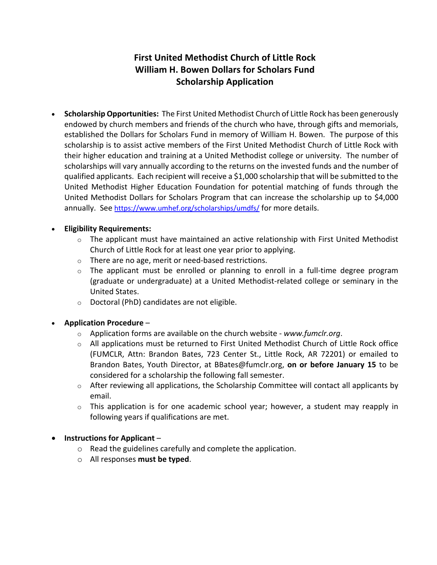# **First United Methodist Church of Little Rock William H. Bowen Dollars for Scholars Fund Scholarship Application**

• **Scholarship Opportunities:** The First United Methodist Church of Little Rock has been generously endowed by church members and friends of the church who have, through gifts and memorials, established the Dollars for Scholars Fund in memory of William H. Bowen. The purpose of this scholarship is to assist active members of the First United Methodist Church of Little Rock with their higher education and training at a United Methodist college or university. The number of scholarships will vary annually according to the returns on the invested funds and the number of qualified applicants. Each recipient will receive a \$1,000 scholarship that will be submitted to the United Methodist Higher Education Foundation for potential matching of funds through the United Methodist Dollars for Scholars Program that can increase the scholarship up to \$4,000 annually. See https://www.umhef.org/scholarships/umdfs/ for more details.

## • **Eligibility Requirements:**

- $\circ$  The applicant must have maintained an active relationship with First United Methodist Church of Little Rock for at least one year prior to applying.
- o There are no age, merit or need-based restrictions.
- o The applicant must be enrolled or planning to enroll in a full-time degree program (graduate or undergraduate) at a United Methodist-related college or seminary in the United States.
- o Doctoral (PhD) candidates are not eligible.

## • **Application Procedure** –

- o Application forms are available on the church website *www.fumclr.org*.
- $\circ$  All applications must be returned to First United Methodist Church of Little Rock office (FUMCLR, Attn: Brandon Bates, 723 Center St., Little Rock, AR 72201) or emailed to Brandon Bates, Youth Director, at BBates@fumclr.org, **on or before January 15** to be considered for a scholarship the following fall semester.
- $\circ$  After reviewing all applications, the Scholarship Committee will contact all applicants by email.
- $\circ$  This application is for one academic school year; however, a student may reapply in following years if qualifications are met.

## • **Instructions for Applicant** –

- o Read the guidelines carefully and complete the application.
- o All responses **must be typed**.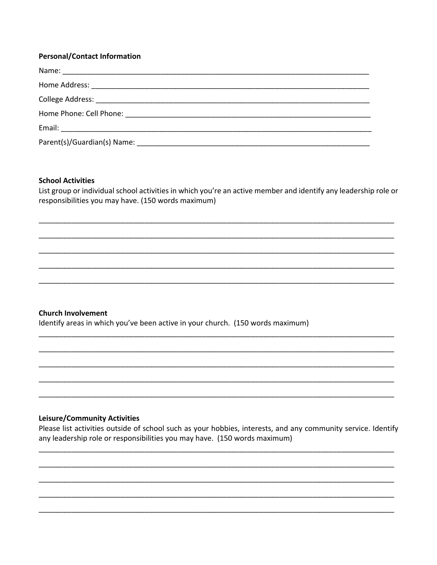#### **Personal/Contact Information**

#### **School Activities**

List group or individual school activities in which you're an active member and identify any leadership role or responsibilities you may have. (150 words maximum)

#### **Church Involvement**

Identify areas in which you've been active in your church. (150 words maximum)

#### **Leisure/Community Activities**

Please list activities outside of school such as your hobbies, interests, and any community service. Identify any leadership role or responsibilities you may have. (150 words maximum)